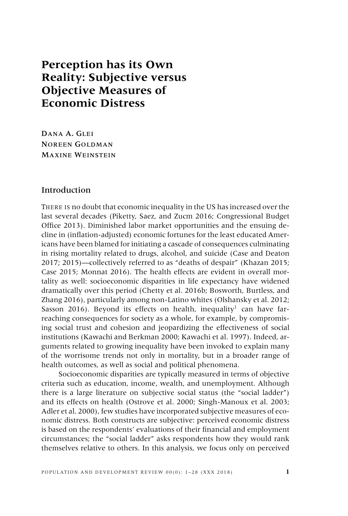# **Perception has its Own Reality: Subjective versus Objective Measures of Economic Distress**

DANA A. GLEI NOREEN GOLDMAN MAXINE WEINSTEIN

# Introduction

THERE IS no doubt that economic inequality in the US has increased over the last several decades (Piketty, Saez, and Zucm 2016; Congressional Budget Office 2013). Diminished labor market opportunities and the ensuing decline in (inflation-adjusted) economic fortunes for the least educated Americans have been blamed for initiating a cascade of consequences culminating in rising mortality related to drugs, alcohol, and suicide (Case and Deaton 2017; 2015)—collectively referred to as "deaths of despair" (Khazan 2015; Case 2015; Monnat 2016). The health effects are evident in overall mortality as well: socioeconomic disparities in life expectancy have widened dramatically over this period (Chetty et al. 2016b; Bosworth, Burtless, and Zhang 2016), particularly among non-Latino whites (Olshansky et al. 2012; Sasson 2016). Beyond its effects on health, inequality<sup>1</sup> can have farreaching consequences for society as a whole, for example, by compromising social trust and cohesion and jeopardizing the effectiveness of social institutions (Kawachi and Berkman 2000; Kawachi et al. 1997). Indeed, arguments related to growing inequality have been invoked to explain many of the worrisome trends not only in mortality, but in a broader range of health outcomes, as well as social and political phenomena.

Socioeconomic disparities are typically measured in terms of objective criteria such as education, income, wealth, and unemployment. Although there is a large literature on subjective social status (the "social ladder") and its effects on health (Ostrove et al. 2000; Singh-Manoux et al. 2003; Adler et al. 2000), few studies have incorporated subjective measures of economic distress. Both constructs are subjective: perceived economic distress is based on the respondents' evaluations of their financial and employment circumstances; the "social ladder" asks respondents how they would rank themselves relative to others. In this analysis, we focus only on perceived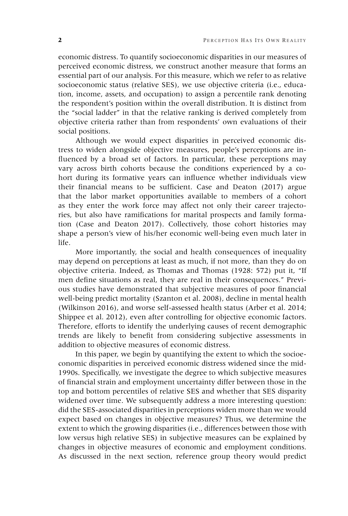economic distress. To quantify socioeconomic disparities in our measures of perceived economic distress, we construct another measure that forms an essential part of our analysis. For this measure, which we refer to as relative socioeconomic status (relative SES), we use objective criteria (i.e., education, income, assets, and occupation) to assign a percentile rank denoting the respondent's position within the overall distribution. It is distinct from the "social ladder" in that the relative ranking is derived completely from objective criteria rather than from respondents' own evaluations of their social positions.

Although we would expect disparities in perceived economic distress to widen alongside objective measures, people's perceptions are influenced by a broad set of factors. In particular, these perceptions may vary across birth cohorts because the conditions experienced by a cohort during its formative years can influence whether individuals view their financial means to be sufficient. Case and Deaton (2017) argue that the labor market opportunities available to members of a cohort as they enter the work force may affect not only their career trajectories, but also have ramifications for marital prospects and family formation (Case and Deaton 2017). Collectively, those cohort histories may shape a person's view of his/her economic well-being even much later in life.

More importantly, the social and health consequences of inequality may depend on perceptions at least as much, if not more, than they do on objective criteria. Indeed, as Thomas and Thomas (1928: 572) put it, "If men define situations as real, they are real in their consequences." Previous studies have demonstrated that subjective measures of poor financial well-being predict mortality (Szanton et al. 2008), decline in mental health (Wilkinson 2016), and worse self-assessed health status (Arber et al. 2014; Shippee et al. 2012), even after controlling for objective economic factors. Therefore, efforts to identify the underlying causes of recent demographic trends are likely to benefit from considering subjective assessments in addition to objective measures of economic distress.

In this paper, we begin by quantifying the extent to which the socioeconomic disparities in perceived economic distress widened since the mid-1990s. Specifically, we investigate the degree to which subjective measures of financial strain and employment uncertainty differ between those in the top and bottom percentiles of relative SES and whether that SES disparity widened over time. We subsequently address a more interesting question: did the SES-associated disparities in perceptions widen more than we would expect based on changes in objective measures? Thus, we determine the extent to which the growing disparities (i.e., differences between those with low versus high relative SES) in subjective measures can be explained by changes in objective measures of economic and employment conditions. As discussed in the next section, reference group theory would predict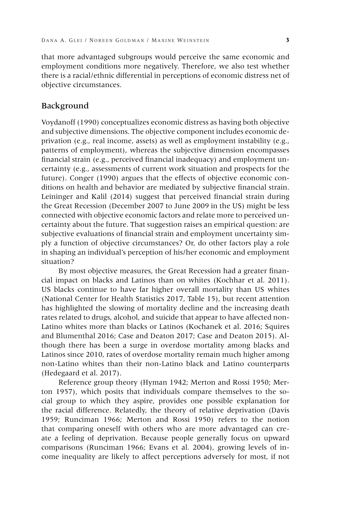that more advantaged subgroups would perceive the same economic and employment conditions more negatively. Therefore, we also test whether there is a racial/ethnic differential in perceptions of economic distress net of objective circumstances.

# Background

Voydanoff (1990) conceptualizes economic distress as having both objective and subjective dimensions. The objective component includes economic deprivation (e.g., real income, assets) as well as employment instability (e.g., patterns of employment), whereas the subjective dimension encompasses financial strain (e.g., perceived financial inadequacy) and employment uncertainty (e.g., assessments of current work situation and prospects for the future). Conger (1990) argues that the effects of objective economic conditions on health and behavior are mediated by subjective financial strain. Leininger and Kalil (2014) suggest that perceived financial strain during the Great Recession (December 2007 to June 2009 in the US) might be less connected with objective economic factors and relate more to perceived uncertainty about the future. That suggestion raises an empirical question: are subjective evaluations of financial strain and employment uncertainty simply a function of objective circumstances? Or, do other factors play a role in shaping an individual's perception of his/her economic and employment situation?

By most objective measures, the Great Recession had a greater financial impact on blacks and Latinos than on whites (Kochhar et al. 2011). US blacks continue to have far higher overall mortality than US whites (National Center for Health Statistics 2017, Table 15), but recent attention has highlighted the slowing of mortality decline and the increasing death rates related to drugs, alcohol, and suicide that appear to have affected non-Latino whites more than blacks or Latinos (Kochanek et al. 2016; Squires and Blumenthal 2016; Case and Deaton 2017; Case and Deaton 2015). Although there has been a surge in overdose mortality among blacks and Latinos since 2010, rates of overdose mortality remain much higher among non-Latino whites than their non-Latino black and Latino counterparts (Hedegaard et al. 2017).

Reference group theory (Hyman 1942; Merton and Rossi 1950; Merton 1957), which posits that individuals compare themselves to the social group to which they aspire, provides one possible explanation for the racial difference. Relatedly, the theory of relative deprivation (Davis 1959; Runciman 1966; Merton and Rossi 1950) refers to the notion that comparing oneself with others who are more advantaged can create a feeling of deprivation. Because people generally focus on upward comparisons (Runciman 1966; Evans et al. 2004), growing levels of income inequality are likely to affect perceptions adversely for most, if not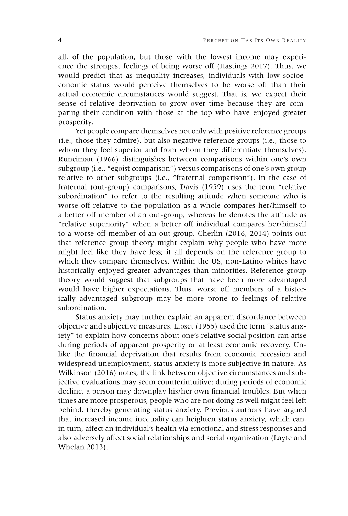all, of the population, but those with the lowest income may experience the strongest feelings of being worse off (Hastings 2017). Thus, we would predict that as inequality increases, individuals with low socioeconomic status would perceive themselves to be worse off than their actual economic circumstances would suggest. That is, we expect their sense of relative deprivation to grow over time because they are comparing their condition with those at the top who have enjoyed greater prosperity.

Yet people compare themselves not only with positive reference groups (i.e., those they admire), but also negative reference groups (i.e., those to whom they feel superior and from whom they differentiate themselves). Runciman (1966) distinguishes between comparisons within one's own subgroup (i.e., "egoist comparison") versus comparisons of one's own group relative to other subgroups (i.e., "fraternal comparison"). In the case of fraternal (out-group) comparisons, Davis (1959) uses the term "relative subordination" to refer to the resulting attitude when someone who is worse off relative to the population as a whole compares her/himself to a better off member of an out-group, whereas he denotes the attitude as "relative superiority" when a better off individual compares her/himself to a worse off member of an out-group. Cherlin (2016; 2014) points out that reference group theory might explain why people who have more might feel like they have less; it all depends on the reference group to which they compare themselves. Within the US, non-Latino whites have historically enjoyed greater advantages than minorities. Reference group theory would suggest that subgroups that have been more advantaged would have higher expectations. Thus, worse off members of a historically advantaged subgroup may be more prone to feelings of relative subordination.

Status anxiety may further explain an apparent discordance between objective and subjective measures. Lipset (1955) used the term "status anxiety" to explain how concerns about one's relative social position can arise during periods of apparent prosperity or at least economic recovery. Unlike the financial deprivation that results from economic recession and widespread unemployment, status anxiety is more subjective in nature. As Wilkinson (2016) notes, the link between objective circumstances and subjective evaluations may seem counterintuitive: during periods of economic decline, a person may downplay his/her own financial troubles. But when times are more prosperous, people who are not doing as well might feel left behind, thereby generating status anxiety. Previous authors have argued that increased income inequality can heighten status anxiety, which can, in turn, affect an individual's health via emotional and stress responses and also adversely affect social relationships and social organization (Layte and Whelan 2013).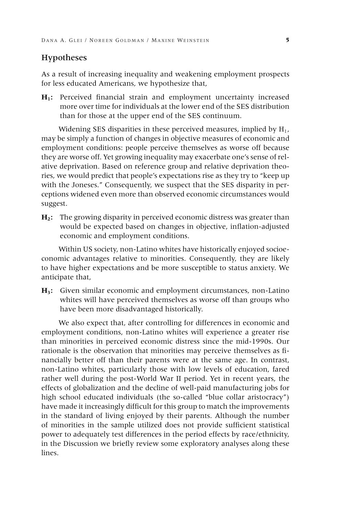# Hypotheses

As a result of increasing inequality and weakening employment prospects for less educated Americans, we hypothesize that,

H<sub>1</sub>: Perceived financial strain and employment uncertainty increased more over time for individuals at the lower end of the SES distribution than for those at the upper end of the SES continuum.

Widening SES disparities in these perceived measures, implied by  $H_1$ , may be simply a function of changes in objective measures of economic and employment conditions: people perceive themselves as worse off because they are worse off. Yet growing inequality may exacerbate one's sense of relative deprivation. Based on reference group and relative deprivation theories, we would predict that people's expectations rise as they try to "keep up with the Joneses." Consequently, we suspect that the SES disparity in perceptions widened even more than observed economic circumstances would suggest.

**H2:** The growing disparity in perceived economic distress was greater than would be expected based on changes in objective, inflation-adjusted economic and employment conditions.

Within US society, non-Latino whites have historically enjoyed socioeconomic advantages relative to minorities. Consequently, they are likely to have higher expectations and be more susceptible to status anxiety. We anticipate that,

H<sub>3</sub>: Given similar economic and employment circumstances, non-Latino whites will have perceived themselves as worse off than groups who have been more disadvantaged historically.

We also expect that, after controlling for differences in economic and employment conditions, non-Latino whites will experience a greater rise than minorities in perceived economic distress since the mid-1990s. Our rationale is the observation that minorities may perceive themselves as financially better off than their parents were at the same age. In contrast, non-Latino whites, particularly those with low levels of education, fared rather well during the post-World War II period. Yet in recent years, the effects of globalization and the decline of well-paid manufacturing jobs for high school educated individuals (the so-called "blue collar aristocracy") have made it increasingly difficult for this group to match the improvements in the standard of living enjoyed by their parents. Although the number of minorities in the sample utilized does not provide sufficient statistical power to adequately test differences in the period effects by race/ethnicity, in the Discussion we briefly review some exploratory analyses along these lines.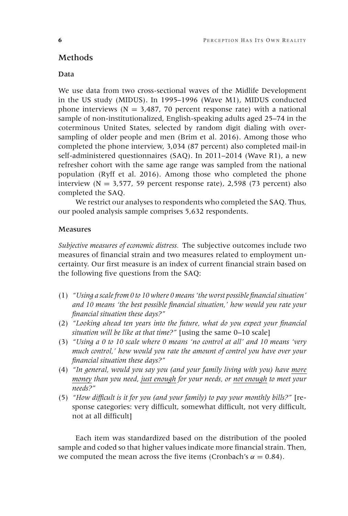# Methods

## Data

We use data from two cross-sectional waves of the Midlife Development in the US study (MIDUS). In 1995–1996 (Wave M1), MIDUS conducted phone interviews ( $N = 3,487, 70$  percent response rate) with a national sample of non-institutionalized, English-speaking adults aged 25–74 in the coterminous United States, selected by random digit dialing with oversampling of older people and men (Brim et al. 2016). Among those who completed the phone interview, 3,034 (87 percent) also completed mail-in self-administered questionnaires (SAQ). In 2011–2014 (Wave R1), a new refresher cohort with the same age range was sampled from the national population (Ryff et al. 2016). Among those who completed the phone interview ( $N = 3,577, 59$  percent response rate), 2,598 (73 percent) also completed the SAQ.

We restrict our analyses to respondents who completed the SAQ. Thus, our pooled analysis sample comprises 5,632 respondents.

# Measures

*Subjective measures of economic distress.* The subjective outcomes include two measures of financial strain and two measures related to employment uncertainty. Our first measure is an index of current financial strain based on the following five questions from the SAQ:

- (1) *"Using a scale from 0 to 10 where 0 means 'the worst possible financial situation' and 10 means 'the best possible financial situation,' how would you rate your financial situation these days?"*
- (2) *"Looking ahead ten years into the future, what do you expect your financial situation will be like at that time?"* [using the same 0–10 scale]
- (3) *"Using a 0 to 10 scale where 0 means 'no control at all' and 10 means 'very much control,' how would you rate the amount of control you have over your financial situation these days?"*
- (4) *"In general, would you say you (and your family living with you) have more money than you need, just enough for your needs, or not enough to meet your needs?"*
- (5) *"How difficult is it for you (and your family) to pay your monthly bills?"* [response categories: very difficult, somewhat difficult, not very difficult, not at all difficult]

Each item was standardized based on the distribution of the pooled sample and coded so that higher values indicate more financial strain. Then, we computed the mean across the five items (Cronbach's  $\alpha = 0.84$ ).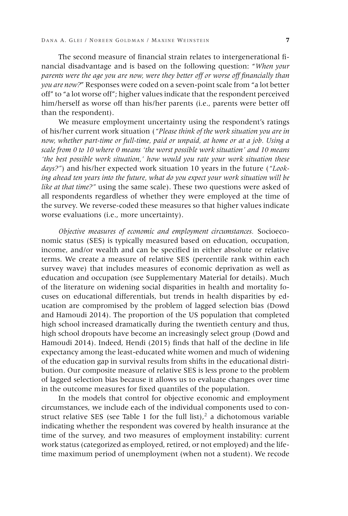The second measure of financial strain relates to intergenerational financial disadvantage and is based on the following question: "*When your parents were the age you are now, were they better off or worse off financially than you are now?*" Responses were coded on a seven-point scale from "a lot better off" to "a lot worse off"; higher values indicate that the respondent perceived him/herself as worse off than his/her parents (i.e., parents were better off than the respondent).

We measure employment uncertainty using the respondent's ratings of his/her current work situation (*"Please think of the work situation you are in now, whether part-time or full-time, paid or unpaid, at home or at a job. Using a scale from 0 to 10 where 0 means 'the worst possible work situation' and 10 means 'the best possible work situation,' how would you rate your work situation these days?"*) and his/her expected work situation 10 years in the future (*"Looking ahead ten years into the future, what do you expect your work situation will be like at that time?"* using the same scale). These two questions were asked of all respondents regardless of whether they were employed at the time of the survey. We reverse-coded these measures so that higher values indicate worse evaluations (i.e., more uncertainty).

*Objective measures of economic and employment circumstances.* Socioeconomic status (SES) is typically measured based on education, occupation, income, and/or wealth and can be specified in either absolute or relative terms. We create a measure of relative SES (percentile rank within each survey wave) that includes measures of economic deprivation as well as education and occupation (see Supplementary Material for details). Much of the literature on widening social disparities in health and mortality focuses on educational differentials, but trends in health disparities by education are compromised by the problem of lagged selection bias (Dowd and Hamoudi 2014). The proportion of the US population that completed high school increased dramatically during the twentieth century and thus, high school dropouts have become an increasingly select group (Dowd and Hamoudi 2014). Indeed, Hendi (2015) finds that half of the decline in life expectancy among the least-educated white women and much of widening of the education gap in survival results from shifts in the educational distribution. Our composite measure of relative SES is less prone to the problem of lagged selection bias because it allows us to evaluate changes over time in the outcome measures for fixed quantiles of the population.

In the models that control for objective economic and employment circumstances, we include each of the individual components used to construct relative SES (see Table 1 for the full list),<sup>2</sup> a dichotomous variable indicating whether the respondent was covered by health insurance at the time of the survey, and two measures of employment instability: current work status (categorized as employed, retired, or not employed) and the lifetime maximum period of unemployment (when not a student). We recode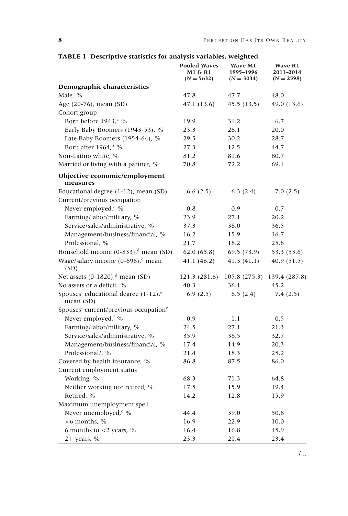|                                                                 | $\ldots$ , $\ldots$<br><b>Pooled Waves</b><br><b>Wave M1</b><br><b>Wave R1</b> |                           |                             |
|-----------------------------------------------------------------|--------------------------------------------------------------------------------|---------------------------|-----------------------------|
|                                                                 | M16R1<br>$(N = 5632)$                                                          | 1995-1996<br>$(N = 3034)$ | 2011-2014<br>$(N = 2598)$   |
| Demographic characteristics                                     |                                                                                |                           |                             |
| Male, %                                                         | 47.8                                                                           | 47.7                      | 48.0                        |
| Age (20-76), mean (SD)                                          | 47.1(13.6)                                                                     | 45.5(13.5)                | 49.0 (13.6)                 |
| Cohort group                                                    |                                                                                |                           |                             |
| Born before 1943, <sup>a</sup> %                                | 19.9                                                                           | 31.2                      | 6.7                         |
| Early Baby Boomers (1943-53), %                                 | 23.3                                                                           | 26.1                      | 20.0                        |
| Late Baby Boomers (1954-64), %                                  | 29.5                                                                           | 30.2                      | 28.7                        |
| Born after 1964, <sup>b</sup> %                                 | 27.3                                                                           | 12.5                      | 44.7                        |
| Non-Latino white, %                                             | 81.2                                                                           | 81.6                      | 80.7                        |
| Married or living with a partner, %                             | 70.8                                                                           | 72.2                      | 69.1                        |
| Objective economic/employment<br>measures                       |                                                                                |                           |                             |
| Educational degree (1-12), mean (SD)                            | 6.6(2.5)                                                                       | 6.3(2.4)                  | 7.0(2.5)                    |
| Current/previous occupation                                     |                                                                                |                           |                             |
| Never employed, <sup>c</sup> %                                  | 0.8                                                                            | 0.9                       | 0.7                         |
| Farming/labor/military, %                                       | 23.9                                                                           | 27.1                      | 20.2                        |
| Service/sales/administrative, %                                 | 37.3                                                                           | 38.0                      | 36.5                        |
| Management/business/financial, %                                | 16.2                                                                           | 15.9                      | 16.7                        |
| Professional, %                                                 | 21.7                                                                           | 18.2                      | 25.8                        |
| Household income $(0-833)$ , <sup>d</sup> mean (SD)             | 62.0(65.8)                                                                     | 69.5 (73.9)               | 53.3 (53.6)                 |
| Wage/salary income $(0-698)$ , <sup>d</sup> mean<br>(SD)        | 41.1 $(46.2)$                                                                  | 41.3 $(41.1)$             | 40.9(51.5)                  |
| Net assets $(0-1820)$ , <sup>d</sup> mean (SD)                  | 121.3(281.6)                                                                   |                           | 105.8 (275.3) 139.4 (287.8) |
| No assets or a deficit, %                                       | 40.3                                                                           | 36.1                      | 45.2                        |
| Spouses' educational degree $(1-12)$ , <sup>e</sup><br>mean(SD) | 6.9(2.5)                                                                       | 6.5(2.4)                  | 7.4(2.5)                    |
| Spouses' current/previous occupation <sup>e</sup>               |                                                                                |                           |                             |
| Never employed, <sup>f</sup> %                                  | 0.9                                                                            | 1.1                       | 0.5                         |
| Farming/labor/military, %                                       | 24.5                                                                           | 27.1                      | 21.3                        |
| Service/sales/administrative, %                                 | 35.9                                                                           | 38.5                      | 32.7                        |
| Management/business/financial, %                                | 17.4                                                                           | 14.9                      | 20.3                        |
| Professional/, %                                                | 21.4                                                                           | 18.3                      | 25.2                        |
| Covered by health insurance, %                                  | 86.8                                                                           | 87.5                      | 86.0                        |
| Current employment status                                       |                                                                                |                           |                             |
| Working, %                                                      | 68.3                                                                           | 71.3                      | 64.8                        |
| Neither working nor retired, %                                  | 17.5                                                                           | 15.9                      | 19.4                        |
| Retired, %                                                      | 14.2                                                                           | 12.8                      | 15.9                        |
| Maximum unemployment spell                                      |                                                                                |                           |                             |
| Never unemployed, <sup>c</sup> %                                | 44.4                                                                           | 39.0                      | 50.8                        |
| <6 months, %                                                    | 16.9                                                                           | 22.9                      | 10.0                        |
| 6 months to $<$ 2 years, %                                      | 16.4                                                                           | 16.8                      | 15.9                        |
| $2+$ years, %                                                   | 23.3                                                                           | 21.4                      | 23.4                        |

**TABLE 1 Descriptive statistics for analysis variables, weighted**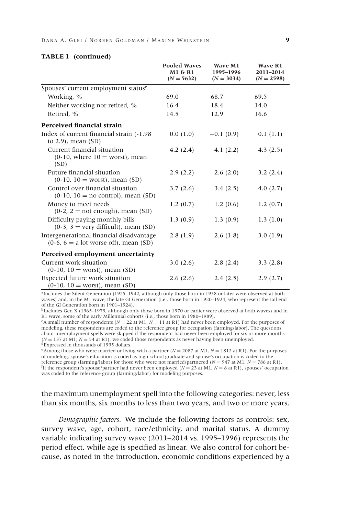|                                                                                        | <b>Pooled Waves</b><br>M16R1<br>$(N = 5632)$ | Wave M1<br>1995-1996<br>$(N = 3034)$ | <b>Wave R1</b><br>2011-2014<br>$(N = 2598)$ |
|----------------------------------------------------------------------------------------|----------------------------------------------|--------------------------------------|---------------------------------------------|
| Spouses' current employment status <sup>e</sup>                                        |                                              |                                      |                                             |
| Working, %                                                                             | 69.0                                         | 68.7                                 | 69.5                                        |
| Neither working nor retired, %                                                         | 16.4                                         | 18.4                                 | 14.0                                        |
| Retired, %                                                                             | 14.5                                         | 12.9                                 | 16.6                                        |
| Perceived financial strain                                                             |                                              |                                      |                                             |
| Index of current financial strain (-1.98)<br>to $2.9$ ), mean $(SD)$                   | 0.0(1.0)                                     | $-0.1(0.9)$                          | 0.1(1.1)                                    |
| Current financial situation<br>$(0-10)$ , where $10 =$ worst), mean<br>(SD)            | 4.2(2.4)                                     | 4.1(2.2)                             | 4.3(2.5)                                    |
| Future financial situation<br>$(0-10, 10 =$ worst), mean $(SD)$                        | 2.9(2.2)                                     | 2.6(2.0)                             | 3.2(2.4)                                    |
| Control over financial situation<br>$(0-10, 10 = no control)$ , mean $(SD)$            | 3.7(2.6)                                     | 3.4(2.5)                             | 4.0(2.7)                                    |
| Money to meet needs<br>$(0-2, 2 = not enough)$ , mean $(SD)$                           | 1.2(0.7)                                     | 1.2(0.6)                             | 1.2(0.7)                                    |
| Difficulty paying monthly bills<br>$(0-3, 3 = \text{very difficult})$ , mean $(SD)$    | 1.3(0.9)                                     | 1.3(0.9)                             | 1.3(1.0)                                    |
| Intergenerational financial disadvantage<br>$(0-6, 6 = a lot worse off)$ , mean $(SD)$ | 2.8(1.9)                                     | 2.6(1.8)                             | 3.0(1.9)                                    |
| Perceived employment uncertainty                                                       |                                              |                                      |                                             |
| Current work situation<br>$(0-10, 10 =$ worst), mean $(SD)$                            | 3.0(2.6)                                     | 2.8(2.4)                             | 3.3(2.8)                                    |
| Expected future work situation<br>$(0-10, 10 =$ worst), mean $(SD)$                    | 2.6(2.6)                                     | 2.4(2.5)                             | 2.9(2.7)                                    |

#### **TABLE 1 (continued)**

<sup>a</sup>Includes the Silent Generation (1925–1942, although only those born in 1938 or later were observed at both waves) and, in the M1 wave, the late GI Generation (i.e., those born in 1920–1924, who represent the tail end of the GI Generation born in 1901–1924).

<sup>b</sup>Includes Gen X (1965–1979, although only those born in 1970 or earlier were observed at both waves) and in R1 wave, some of the early Millennial cohorts (i.e., those born in 1980–1989).

<sup>c</sup>A small number of respondents ( $N = 22$  at M1,  $N = 11$  at R1) had never been employed. For the purposes of modeling, these respondents are coded to the reference group for occupation (farming/labor). The questions about unemployment spells were skipped if the respondent had never been employed for six or more months  $(N = 137$  at M1,  $N = 54$  at R1); we coded those respondents as never having been unemployed.  $d$ Expressed in thousands of 1995 dollars.

<sup>e</sup> Among those who were married or living with a partner ( $N = 2087$  at M1,  $N = 1812$  at R1). For the purposes of modeling, spouse's education is coded as high school graduate and spouse's occupation is coded to the reference group (farming/labor) for those who were not married/partnered ( $N = 947$  at M1,  $N = 786$  at R1). <sup>I</sup>If the respondent's spouse/partner had never been employed ( $N = 23$  at M1,  $N = 8$  at R1), spouses' occupation was coded to the reference group (farming/labor) for modeling purposes.

the maximum unemployment spell into the following categories: never, less than six months, six months to less than two years, and two or more years.

*Demographic factors.* We include the following factors as controls: sex, survey wave, age, cohort, race/ethnicity, and marital status. A dummy variable indicating survey wave (2011–2014 vs. 1995–1996) represents the period effect, while age is specified as linear. We also control for cohort because, as noted in the introduction, economic conditions experienced by a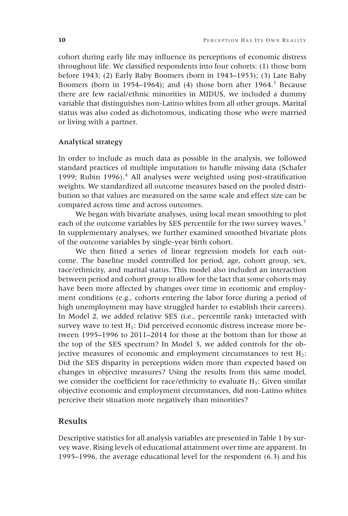cohort during early life may influence its perceptions of economic distress throughout life. We classified respondents into four cohorts: (1) those born before 1943; (2) Early Baby Boomers (born in 1943–1953); (3) Late Baby Boomers (born in 1954–1964); and (4) those born after 1964.<sup>3</sup> Because there are few racial/ethnic minorities in MIDUS, we included a dummy variable that distinguishes non-Latino whites from all other groups. Marital status was also coded as dichotomous, indicating those who were married or living with a partner.

#### Analytical strategy

In order to include as much data as possible in the analysis, we followed standard practices of multiple imputation to handle missing data (Schafer 1999; Rubin 1996). $4$  All analyses were weighted using post-stratification weights. We standardized all outcome measures based on the pooled distribution so that values are measured on the same scale and effect size can be compared across time and across outcomes.

We began with bivariate analyses, using local mean smoothing to plot each of the outcome variables by SES percentile for the two survey waves.<sup>5</sup> In supplementary analyses, we further examined smoothed bivariate plots of the outcome variables by single-year birth cohort.

We then fitted a series of linear regression models for each outcome. The baseline model controlled for period, age, cohort group, sex, race/ethnicity, and marital status. This model also included an interaction between period and cohort group to allow for the fact that some cohorts may have been more affected by changes over time in economic and employment conditions (e.g., cohorts entering the labor force during a period of high unemployment may have struggled harder to establish their careers). In Model 2, we added relative SES (i.e., percentile rank) interacted with survey wave to test  $H_1$ : Did perceived economic distress increase more between 1995–1996 to 2011–2014 for those at the bottom than for those at the top of the SES spectrum? In Model 3, we added controls for the objective measures of economic and employment circumstances to test  $H_2$ : Did the SES disparity in perceptions widen more than expected based on changes in objective measures? Using the results from this same model, we consider the coefficient for race/ethnicity to evaluate  $H_3$ : Given similar objective economic and employment circumstances, did non-Latino whites perceive their situation more negatively than minorities?

# Results

Descriptive statistics for all analysis variables are presented in Table 1 by survey wave. Rising levels of educational attainment over time are apparent. In 1995–1996, the average educational level for the respondent (6.3) and his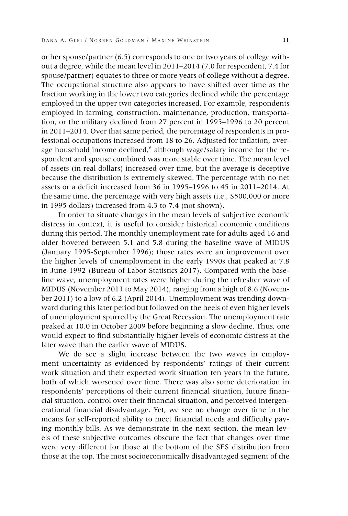or her spouse/partner (6.5) corresponds to one or two years of college without a degree, while the mean level in 2011–2014 (7.0 for respondent, 7.4 for spouse/partner) equates to three or more years of college without a degree. The occupational structure also appears to have shifted over time as the fraction working in the lower two categories declined while the percentage employed in the upper two categories increased. For example, respondents employed in farming, construction, maintenance, production, transportation, or the military declined from 27 percent in 1995–1996 to 20 percent in 2011–2014. Over that same period, the percentage of respondents in professional occupations increased from 18 to 26. Adjusted for inflation, average household income declined, $6$  although wage/salary income for the respondent and spouse combined was more stable over time. The mean level of assets (in real dollars) increased over time, but the average is deceptive because the distribution is extremely skewed. The percentage with no net assets or a deficit increased from 36 in 1995–1996 to 45 in 2011–2014. At the same time, the percentage with very high assets (i.e., \$500,000 or more in 1995 dollars) increased from 4.3 to 7.4 (not shown).

In order to situate changes in the mean levels of subjective economic distress in context, it is useful to consider historical economic conditions during this period. The monthly unemployment rate for adults aged 16 and older hovered between 5.1 and 5.8 during the baseline wave of MIDUS (January 1995-September 1996); those rates were an improvement over the higher levels of unemployment in the early 1990s that peaked at 7.8 in June 1992 (Bureau of Labor Statistics 2017). Compared with the baseline wave, unemployment rates were higher during the refresher wave of MIDUS (November 2011 to May 2014), ranging from a high of 8.6 (November 2011) to a low of 6.2 (April 2014). Unemployment was trending downward during this later period but followed on the heels of even higher levels of unemployment spurred by the Great Recession. The unemployment rate peaked at 10.0 in October 2009 before beginning a slow decline. Thus, one would expect to find substantially higher levels of economic distress at the later wave than the earlier wave of MIDUS.

We do see a slight increase between the two waves in employment uncertainty as evidenced by respondents' ratings of their current work situation and their expected work situation ten years in the future, both of which worsened over time. There was also some deterioration in respondents' perceptions of their current financial situation, future financial situation, control over their financial situation, and perceived intergenerational financial disadvantage. Yet, we see no change over time in the means for self-reported ability to meet financial needs and difficulty paying monthly bills. As we demonstrate in the next section, the mean levels of these subjective outcomes obscure the fact that changes over time were very different for those at the bottom of the SES distribution from those at the top. The most socioeconomically disadvantaged segment of the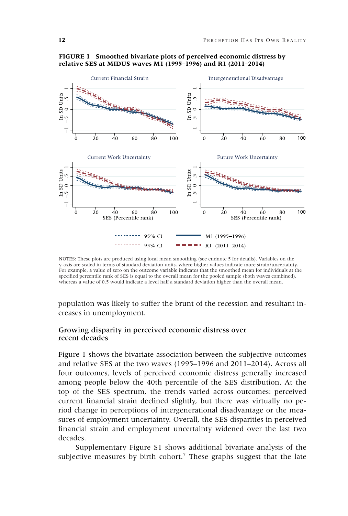

#### **FIGURE 1 Smoothed bivariate plots of perceived economic distress by relative SES at MIDUS waves M1 (1995–1996) and R1 (2011–2014)**

NOTES: These plots are produced using local mean smoothing (see endnote 5 for details). Variables on the y-axis are scaled in terms of standard deviation units, where higher values indicate more strain/uncertainty. For example, a value of zero on the outcome variable indicates that the smoothed mean for individuals at the specified percentile rank of SES is equal to the overall mean for the pooled sample (both waves combined), whereas a value of 0.5 would indicate a level half a standard deviation higher than the overall mean.

population was likely to suffer the brunt of the recession and resultant increases in unemployment.

## Growing disparity in perceived economic distress over recent decades

Figure 1 shows the bivariate association between the subjective outcomes and relative SES at the two waves (1995–1996 and 2011–2014). Across all four outcomes, levels of perceived economic distress generally increased among people below the 40th percentile of the SES distribution. At the top of the SES spectrum, the trends varied across outcomes: perceived current financial strain declined slightly, but there was virtually no period change in perceptions of intergenerational disadvantage or the measures of employment uncertainty. Overall, the SES disparities in perceived financial strain and employment uncertainty widened over the last two decades.

Supplementary Figure S1 shows additional bivariate analysis of the subjective measures by birth cohort.<sup>7</sup> These graphs suggest that the late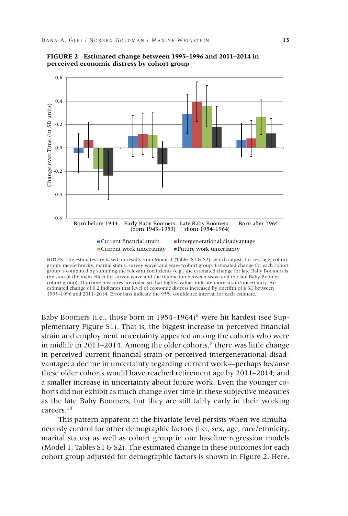

**FIGURE 2 Estimated change between 1995–1996 and 2011–2014 in perceived economic distress by cohort group**

NOTES: The estimates are based on results from Model 1 (Tables S1 & S2), which adjusts for sex, age, cohort group, race/ethnicity, marital status, survey wave, and wave\*cohort group. Estimated change for each cohort group is computed by summing the relevant coefficients (e.g., the estimated change for late Baby Boomers is the sum of the main effect for survey wave and the interaction between wave and the late Baby Boomer cohort group). Outcome measures are coded so that higher values indicate more strain/uncertainty. An estimated change of 0.2 indicates that level of economic distress increased by onefifth of a SD between 1995–1996 and 2011–2014. Error bars indicate the 95% confidence interval for each estimate.

Baby Boomers (i.e., those born in  $1954-1964$ )<sup>8</sup> were hit hardest (see Supplementary Figure S1). That is, the biggest increase in perceived financial strain and employment uncertainty appeared among the cohorts who were in midlife in 2011–2014. Among the older cohorts, $9$  there was little change in perceived current financial strain or perceived intergenerational disadvantage; a decline in uncertainty regarding current work—perhaps because these older cohorts would have reached retirement age by 2011–2014; and a smaller increase in uncertainty about future work. Even the younger cohorts did not exhibit as much change over time in these subjective measures as the late Baby Boomers, but they are still fairly early in their working careers.10

This pattern apparent at the bivariate level persists when we simultaneously control for other demographic factors (i.e., sex, age, race/ethnicity, marital status) as well as cohort group in our baseline regression models (Model 1, Tables S1  $6$  S2). The estimated change in these outcomes for each cohort group adjusted for demographic factors is shown in Figure 2. Here,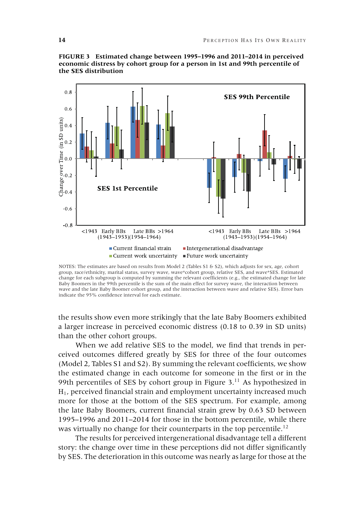

**FIGURE 3 Estimated change between 1995–1996 and 2011–2014 in perceived economic distress by cohort group for a person in 1st and 99th percentile of the SES distribution**

NOTES: The estimates are based on results from Model 2 (Tables S1 & S2), which adjusts for sex, age, cohort group, race/ethnicity, marital status, survey wave, wave\*cohort group, relative SES, and wave\*SES. Estimated change for each subgroup is computed by summing the relevant coefficients (e.g., the estimated change for late Baby Boomers in the 99th percentile is the sum of the main effect for survey wave, the interaction between wave and the late Baby Boomer cohort group, and the interaction between wave and relative SES). Error bars indicate the 95% confidence interval for each estimate.

the results show even more strikingly that the late Baby Boomers exhibited a larger increase in perceived economic distress (0.18 to 0.39 in SD units) than the other cohort groups.

When we add relative SES to the model, we find that trends in perceived outcomes differed greatly by SES for three of the four outcomes (Model 2, Tables S1 and S2). By summing the relevant coefficients, we show the estimated change in each outcome for someone in the first or in the 99th percentiles of SES by cohort group in Figure  $3$ .<sup>11</sup> As hypothesized in  $H<sub>1</sub>$ , perceived financial strain and employment uncertainty increased much more for those at the bottom of the SES spectrum. For example, among the late Baby Boomers, current financial strain grew by 0.63 SD between 1995–1996 and 2011–2014 for those in the bottom percentile, while there was virtually no change for their counterparts in the top percentile.<sup>12</sup>

The results for perceived intergenerational disadvantage tell a different story: the change over time in these perceptions did not differ significantly by SES. The deterioration in this outcome was nearly as large for those at the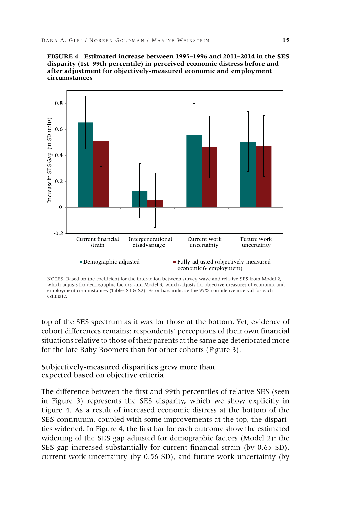



NOTES: Based on the coefficient for the interaction between survey wave and relative SES from Model 2, which adjusts for demographic factors, and Model 3, which adjusts for objective measures of economic and employment circumstances (Tables S1 & S2). Error bars indicate the 95% confidence interval for each estimate.

top of the SES spectrum as it was for those at the bottom. Yet, evidence of cohort differences remains: respondents' perceptions of their own financial situations relative to those of their parents at the same age deteriorated more for the late Baby Boomers than for other cohorts (Figure 3).

# Subjectively-measured disparities grew more than expected based on objective criteria

The difference between the first and 99th percentiles of relative SES (seen in Figure 3) represents the SES disparity, which we show explicitly in Figure 4. As a result of increased economic distress at the bottom of the SES continuum, coupled with some improvements at the top, the disparities widened. In Figure 4, the first bar for each outcome show the estimated widening of the SES gap adjusted for demographic factors (Model 2): the SES gap increased substantially for current financial strain (by 0.65 SD), current work uncertainty (by 0.56 SD), and future work uncertainty (by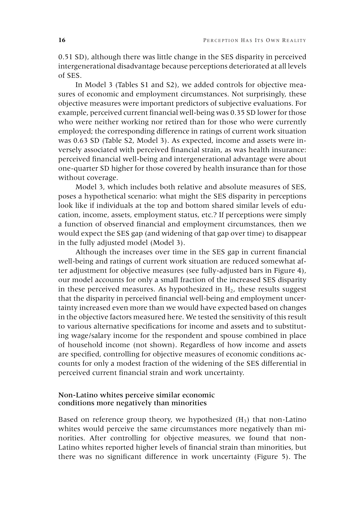0.51 SD), although there was little change in the SES disparity in perceived intergenerational disadvantage because perceptions deteriorated at all levels of SES.

In Model 3 (Tables S1 and S2), we added controls for objective measures of economic and employment circumstances. Not surprisingly, these objective measures were important predictors of subjective evaluations. For example, perceived current financial well-being was 0.35 SD lower for those who were neither working nor retired than for those who were currently employed; the corresponding difference in ratings of current work situation was 0.63 SD (Table S2, Model 3). As expected, income and assets were inversely associated with perceived financial strain, as was health insurance: perceived financial well-being and intergenerational advantage were about one-quarter SD higher for those covered by health insurance than for those without coverage.

Model 3, which includes both relative and absolute measures of SES, poses a hypothetical scenario: what might the SES disparity in perceptions look like if individuals at the top and bottom shared similar levels of education, income, assets, employment status, etc.? If perceptions were simply a function of observed financial and employment circumstances, then we would expect the SES gap (and widening of that gap over time) to disappear in the fully adjusted model (Model 3).

Although the increases over time in the SES gap in current financial well-being and ratings of current work situation are reduced somewhat after adjustment for objective measures (see fully-adjusted bars in Figure 4), our model accounts for only a small fraction of the increased SES disparity in these perceived measures. As hypothesized in  $H<sub>2</sub>$ , these results suggest that the disparity in perceived financial well-being and employment uncertainty increased even more than we would have expected based on changes in the objective factors measured here. We tested the sensitivity of this result to various alternative specifications for income and assets and to substituting wage/salary income for the respondent and spouse combined in place of household income (not shown). Regardless of how income and assets are specified, controlling for objective measures of economic conditions accounts for only a modest fraction of the widening of the SES differential in perceived current financial strain and work uncertainty.

## Non-Latino whites perceive similar economic conditions more negatively than minorities

Based on reference group theory, we hypothesized  $(H_3)$  that non-Latino whites would perceive the same circumstances more negatively than minorities. After controlling for objective measures, we found that non-Latino whites reported higher levels of financial strain than minorities, but there was no significant difference in work uncertainty (Figure 5). The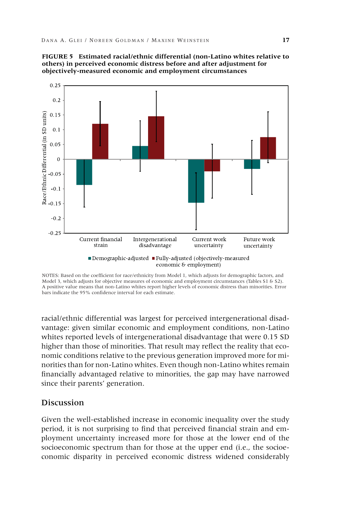

**FIGURE 5 Estimated racial/ethnic differential (non-Latino whites relative to others) in perceived economic distress before and after adjustment for objectively-measured economic and employment circumstances**

economic & employment)

NOTES: Based on the coefficient for race/ethnicity from Model 1, which adjusts for demographic factors, and Model 3, which adjusts for objective measures of economic and employment circumstances (Tables S1 & S2). A positive value means that non-Latino whites report higher levels of economic distress than minorities. Error bars indicate the 95% confidence interval for each estimate.

racial/ethnic differential was largest for perceived intergenerational disadvantage: given similar economic and employment conditions, non-Latino whites reported levels of intergenerational disadvantage that were 0.15 SD higher than those of minorities. That result may reflect the reality that economic conditions relative to the previous generation improved more for minorities than for non-Latino whites. Even though non-Latino whites remain financially advantaged relative to minorities, the gap may have narrowed since their parents' generation.

# Discussion

Given the well-established increase in economic inequality over the study period, it is not surprising to find that perceived financial strain and employment uncertainty increased more for those at the lower end of the socioeconomic spectrum than for those at the upper end (i.e., the socioeconomic disparity in perceived economic distress widened considerably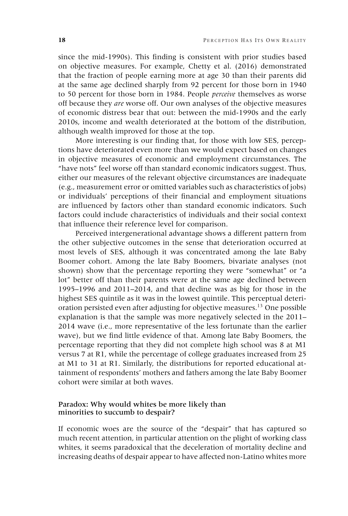since the mid-1990s). This finding is consistent with prior studies based on objective measures. For example, Chetty et al. (2016) demonstrated that the fraction of people earning more at age 30 than their parents did at the same age declined sharply from 92 percent for those born in 1940 to 50 percent for those born in 1984. People *perceive* themselves as worse off because they *are* worse off. Our own analyses of the objective measures of economic distress bear that out: between the mid-1990s and the early 2010s, income and wealth deteriorated at the bottom of the distribution, although wealth improved for those at the top.

More interesting is our finding that, for those with low SES, perceptions have deteriorated even more than we would expect based on changes in objective measures of economic and employment circumstances. The "have nots" feel worse off than standard economic indicators suggest. Thus, either our measures of the relevant objective circumstances are inadequate (e.g., measurement error or omitted variables such as characteristics of jobs) or individuals' perceptions of their financial and employment situations are influenced by factors other than standard economic indicators. Such factors could include characteristics of individuals and their social context that influence their reference level for comparison.

Perceived intergenerational advantage shows a different pattern from the other subjective outcomes in the sense that deterioration occurred at most levels of SES, although it was concentrated among the late Baby Boomer cohort. Among the late Baby Boomers, bivariate analyses (not shown) show that the percentage reporting they were "somewhat" or "a lot" better off than their parents were at the same age declined between 1995–1996 and 2011–2014, and that decline was as big for those in the highest SES quintile as it was in the lowest quintile. This perceptual deterioration persisted even after adjusting for objective measures.<sup>13</sup> One possible explanation is that the sample was more negatively selected in the 2011– 2014 wave (i.e., more representative of the less fortunate than the earlier wave), but we find little evidence of that. Among late Baby Boomers, the percentage reporting that they did not complete high school was 8 at M1 versus 7 at R1, while the percentage of college graduates increased from 25 at M1 to 31 at R1. Similarly, the distributions for reported educational attainment of respondents' mothers and fathers among the late Baby Boomer cohort were similar at both waves.

# Paradox: Why would whites be more likely than minorities to succumb to despair?

If economic woes are the source of the "despair" that has captured so much recent attention, in particular attention on the plight of working class whites, it seems paradoxical that the deceleration of mortality decline and increasing deaths of despair appear to have affected non-Latino whites more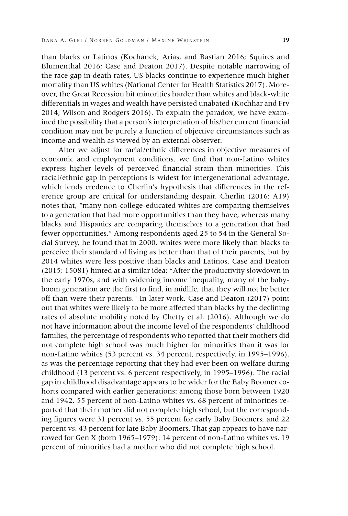than blacks or Latinos (Kochanek, Arias, and Bastian 2016; Squires and Blumenthal 2016; Case and Deaton 2017). Despite notable narrowing of the race gap in death rates, US blacks continue to experience much higher mortality than US whites (National Center for Health Statistics 2017). Moreover, the Great Recession hit minorities harder than whites and black-white differentials in wages and wealth have persisted unabated (Kochhar and Fry 2014; Wilson and Rodgers 2016). To explain the paradox, we have examined the possibility that a person's interpretation of his/her current financial condition may not be purely a function of objective circumstances such as income and wealth as viewed by an external observer.

After we adjust for racial/ethnic differences in objective measures of economic and employment conditions, we find that non-Latino whites express higher levels of perceived financial strain than minorities. This racial/ethnic gap in perceptions is widest for intergenerational advantage, which lends credence to Cherlin's hypothesis that differences in the reference group are critical for understanding despair. Cherlin (2016: A19) notes that, "many non-college-educated whites are comparing themselves to a generation that had more opportunities than they have, whereas many blacks and Hispanics are comparing themselves to a generation that had fewer opportunities." Among respondents aged 25 to 54 in the General Social Survey, he found that in 2000, whites were more likely than blacks to perceive their standard of living as better than that of their parents, but by 2014 whites were less positive than blacks and Latinos. Case and Deaton (2015: 15081) hinted at a similar idea: "After the productivity slowdown in the early 1970s, and with widening income inequality, many of the babyboom generation are the first to find, in midlife, that they will not be better off than were their parents." In later work, Case and Deaton (2017) point out that whites were likely to be more affected than blacks by the declining rates of absolute mobility noted by Chetty et al. (2016). Although we do not have information about the income level of the respondents' childhood families, the percentage of respondents who reported that their mothers did not complete high school was much higher for minorities than it was for non-Latino whites (53 percent vs. 34 percent, respectively, in 1995–1996), as was the percentage reporting that they had ever been on welfare during childhood (13 percent vs. 6 percent respectively, in 1995–1996). The racial gap in childhood disadvantage appears to be wider for the Baby Boomer cohorts compared with earlier generations: among those born between 1920 and 1942, 55 percent of non-Latino whites vs. 68 percent of minorities reported that their mother did not complete high school, but the corresponding figures were 31 percent vs. 55 percent for early Baby Boomers, and 22 percent vs. 43 percent for late Baby Boomers. That gap appears to have narrowed for Gen X (born 1965–1979): 14 percent of non-Latino whites vs. 19 percent of minorities had a mother who did not complete high school.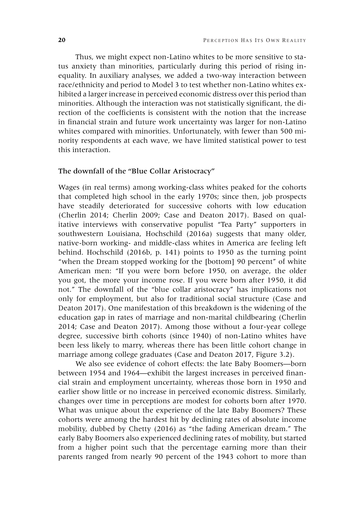Thus, we might expect non-Latino whites to be more sensitive to status anxiety than minorities, particularly during this period of rising inequality. In auxiliary analyses, we added a two-way interaction between race/ethnicity and period to Model 3 to test whether non-Latino whites exhibited a larger increase in perceived economic distress over this period than minorities. Although the interaction was not statistically significant, the direction of the coefficients is consistent with the notion that the increase in financial strain and future work uncertainty was larger for non-Latino whites compared with minorities. Unfortunately, with fewer than 500 minority respondents at each wave, we have limited statistical power to test this interaction.

## The downfall of the "Blue Collar Aristocracy"

Wages (in real terms) among working-class whites peaked for the cohorts that completed high school in the early 1970s; since then, job prospects have steadily deteriorated for successive cohorts with low education (Cherlin 2014; Cherlin 2009; Case and Deaton 2017). Based on qualitative interviews with conservative populist "Tea Party" supporters in southwestern Louisiana, Hochschild (2016a) suggests that many older, native-born working- and middle-class whites in America are feeling left behind. Hochschild (2016b, p. 141) points to 1950 as the turning point "when the Dream stopped working for the [bottom] 90 percent" of white American men: "If you were born before 1950, on average, the older you got, the more your income rose. If you were born after 1950, it did not." The downfall of the "blue collar aristocracy" has implications not only for employment, but also for traditional social structure (Case and Deaton 2017). One manifestation of this breakdown is the widening of the education gap in rates of marriage and non-marital childbearing (Cherlin 2014; Case and Deaton 2017). Among those without a four-year college degree, successive birth cohorts (since 1940) of non-Latino whites have been less likely to marry, whereas there has been little cohort change in marriage among college graduates (Case and Deaton 2017, Figure 3.2).

We also see evidence of cohort effects: the late Baby Boomers—born between 1954 and 1964—exhibit the largest increases in perceived financial strain and employment uncertainty, whereas those born in 1950 and earlier show little or no increase in perceived economic distress. Similarly, changes over time in perceptions are modest for cohorts born after 1970. What was unique about the experience of the late Baby Boomers? These cohorts were among the hardest hit by declining rates of absolute income mobility, dubbed by Chetty (2016) as "the fading American dream." The early Baby Boomers also experienced declining rates of mobility, but started from a higher point such that the percentage earning more than their parents ranged from nearly 90 percent of the 1943 cohort to more than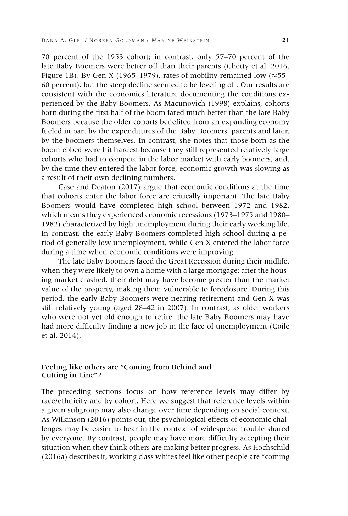70 percent of the 1953 cohort; in contrast, only 57–70 percent of the late Baby Boomers were better off than their parents (Chetty et al. 2016, Figure 1B). By Gen X (1965–1979), rates of mobility remained low ( $\approx$ 55– 60 percent), but the steep decline seemed to be leveling off. Our results are consistent with the economics literature documenting the conditions experienced by the Baby Boomers. As Macunovich (1998) explains, cohorts born during the first half of the boom fared much better than the late Baby Boomers because the older cohorts benefited from an expanding economy fueled in part by the expenditures of the Baby Boomers' parents and later, by the boomers themselves. In contrast, she notes that those born as the boom ebbed were hit hardest because they still represented relatively large cohorts who had to compete in the labor market with early boomers, and, by the time they entered the labor force, economic growth was slowing as a result of their own declining numbers.

Case and Deaton (2017) argue that economic conditions at the time that cohorts enter the labor force are critically important. The late Baby Boomers would have completed high school between 1972 and 1982, which means they experienced economic recessions (1973–1975 and 1980– 1982) characterized by high unemployment during their early working life. In contrast, the early Baby Boomers completed high school during a period of generally low unemployment, while Gen X entered the labor force during a time when economic conditions were improving.

The late Baby Boomers faced the Great Recession during their midlife, when they were likely to own a home with a large mortgage; after the housing market crashed, their debt may have become greater than the market value of the property, making them vulnerable to foreclosure. During this period, the early Baby Boomers were nearing retirement and Gen X was still relatively young (aged 28–42 in 2007). In contrast, as older workers who were not yet old enough to retire, the late Baby Boomers may have had more difficulty finding a new job in the face of unemployment (Coile et al. 2014).

# Feeling like others are "Coming from Behind and Cutting in Line"?

The preceding sections focus on how reference levels may differ by race/ethnicity and by cohort. Here we suggest that reference levels within a given subgroup may also change over time depending on social context. As Wilkinson (2016) points out, the psychological effects of economic challenges may be easier to bear in the context of widespread trouble shared by everyone. By contrast, people may have more difficulty accepting their situation when they think others are making better progress. As Hochschild (2016a) describes it, working class whites feel like other people are "coming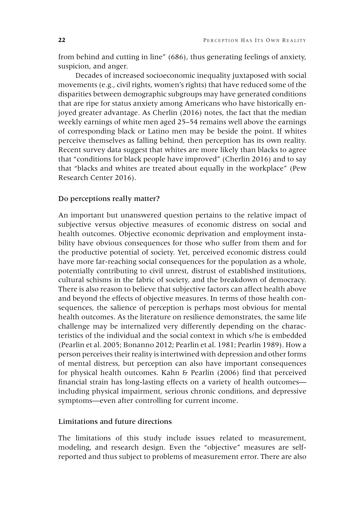from behind and cutting in line" (686), thus generating feelings of anxiety, suspicion, and anger.

Decades of increased socioeconomic inequality juxtaposed with social movements (e.g., civil rights, women's rights) that have reduced some of the disparities between demographic subgroups may have generated conditions that are ripe for status anxiety among Americans who have historically enjoyed greater advantage. As Cherlin (2016) notes, the fact that the median weekly earnings of white men aged 25–54 remains well above the earnings of corresponding black or Latino men may be beside the point. If whites perceive themselves as falling behind, then perception has its own reality. Recent survey data suggest that whites are more likely than blacks to agree that "conditions for black people have improved" (Cherlin 2016) and to say that "blacks and whites are treated about equally in the workplace" (Pew Research Center 2016).

#### Do perceptions really matter?

An important but unanswered question pertains to the relative impact of subjective versus objective measures of economic distress on social and health outcomes. Objective economic deprivation and employment instability have obvious consequences for those who suffer from them and for the productive potential of society. Yet, perceived economic distress could have more far-reaching social consequences for the population as a whole, potentially contributing to civil unrest, distrust of established institutions, cultural schisms in the fabric of society, and the breakdown of democracy. There is also reason to believe that subjective factors can affect health above and beyond the effects of objective measures. In terms of those health consequences, the salience of perception is perhaps most obvious for mental health outcomes. As the literature on resilience demonstrates, the same life challenge may be internalized very differently depending on the characteristics of the individual and the social context in which s/he is embedded (Pearlin et al. 2005; Bonanno 2012; Pearlin et al. 1981; Pearlin 1989). How a person perceives their reality is intertwined with depression and other forms of mental distress, but perception can also have important consequences for physical health outcomes. Kahn & Pearlin (2006) find that perceived financial strain has long-lasting effects on a variety of health outcomes including physical impairment, serious chronic conditions, and depressive symptoms—even after controlling for current income.

#### Limitations and future directions

The limitations of this study include issues related to measurement, modeling, and research design. Even the "objective" measures are selfreported and thus subject to problems of measurement error. There are also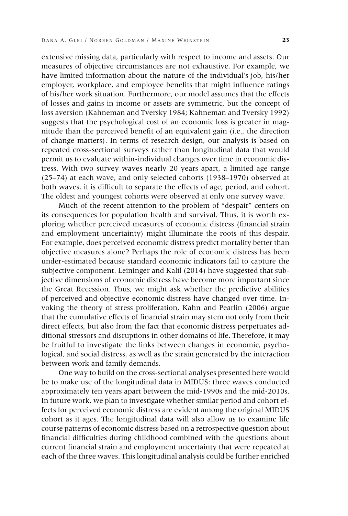extensive missing data, particularly with respect to income and assets. Our measures of objective circumstances are not exhaustive. For example, we have limited information about the nature of the individual's job, his/her employer, workplace, and employee benefits that might influence ratings of his/her work situation. Furthermore, our model assumes that the effects of losses and gains in income or assets are symmetric, but the concept of loss aversion (Kahneman and Tversky 1984; Kahneman and Tversky 1992) suggests that the psychological cost of an economic loss is greater in magnitude than the perceived benefit of an equivalent gain (i.e., the direction of change matters). In terms of research design, our analysis is based on repeated cross-sectional surveys rather than longitudinal data that would permit us to evaluate within-individual changes over time in economic distress. With two survey waves nearly 20 years apart, a limited age range (25–74) at each wave, and only selected cohorts (1938–1970) observed at both waves, it is difficult to separate the effects of age, period, and cohort. The oldest and youngest cohorts were observed at only one survey wave.

Much of the recent attention to the problem of "despair" centers on its consequences for population health and survival. Thus, it is worth exploring whether perceived measures of economic distress (financial strain and employment uncertainty) might illuminate the roots of this despair. For example, does perceived economic distress predict mortality better than objective measures alone? Perhaps the role of economic distress has been under-estimated because standard economic indicators fail to capture the subjective component. Leininger and Kalil (2014) have suggested that subjective dimensions of economic distress have become more important since the Great Recession. Thus, we might ask whether the predictive abilities of perceived and objective economic distress have changed over time. Invoking the theory of stress proliferation, Kahn and Pearlin (2006) argue that the cumulative effects of financial strain may stem not only from their direct effects, but also from the fact that economic distress perpetuates additional stressors and disruptions in other domains of life. Therefore, it may be fruitful to investigate the links between changes in economic, psychological, and social distress, as well as the strain generated by the interaction between work and family demands.

One way to build on the cross-sectional analyses presented here would be to make use of the longitudinal data in MIDUS: three waves conducted approximately ten years apart between the mid-1990s and the mid-2010s. In future work, we plan to investigate whether similar period and cohort effects for perceived economic distress are evident among the original MIDUS cohort as it ages. The longitudinal data will also allow us to examine life course patterns of economic distress based on a retrospective question about financial difficulties during childhood combined with the questions about current financial strain and employment uncertainty that were repeated at each of the three waves. This longitudinal analysis could be further enriched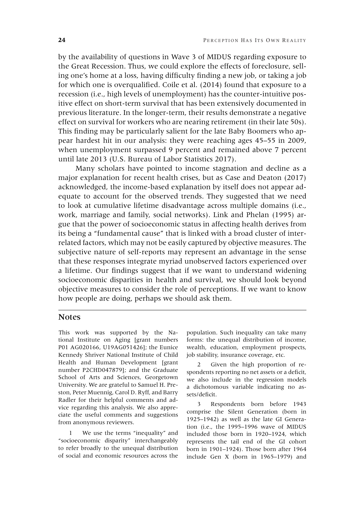by the availability of questions in Wave 3 of MIDUS regarding exposure to the Great Recession. Thus, we could explore the effects of foreclosure, selling one's home at a loss, having difficulty finding a new job, or taking a job for which one is overqualified. Coile et al. (2014) found that exposure to a recession (i.e., high levels of unemployment) has the counter-intuitive positive effect on short-term survival that has been extensively documented in previous literature. In the longer-term, their results demonstrate a negative effect on survival for workers who are nearing retirement (in their late 50s). This finding may be particularly salient for the late Baby Boomers who appear hardest hit in our analysis: they were reaching ages 45–55 in 2009, when unemployment surpassed 9 percent and remained above 7 percent until late 2013 (U.S. Bureau of Labor Statistics 2017).

Many scholars have pointed to income stagnation and decline as a major explanation for recent health crises, but as Case and Deaton (2017) acknowledged, the income-based explanation by itself does not appear adequate to account for the observed trends. They suggested that we need to look at cumulative lifetime disadvantage across multiple domains (i.e., work, marriage and family, social networks). Link and Phelan (1995) argue that the power of socioeconomic status in affecting health derives from its being a "fundamental cause" that is linked with a broad cluster of interrelated factors, which may not be easily captured by objective measures. The subjective nature of self-reports may represent an advantage in the sense that these responses integrate myriad unobserved factors experienced over a lifetime. Our findings suggest that if we want to understand widening socioeconomic disparities in health and survival, we should look beyond objective measures to consider the role of perceptions. If we want to know how people are doing, perhaps we should ask them.

## Notes

This work was supported by the National Institute on Aging [grant numbers P01 AG020166, U19AG051426]; the Eunice Kennedy Shriver National Institute of Child Health and Human Development [grant number P2CHD047879]; and the Graduate School of Arts and Sciences, Georgetown University. We are grateful to Samuel H. Preston, Peter Muennig, Carol D. Ryff, and Barry Radler for their helpful comments and advice regarding this analysis. We also appreciate the useful comments and suggestions from anonymous reviewers.

1 We use the terms "inequality" and "socioeconomic disparity" interchangeably to refer broadly to the unequal distribution of social and economic resources across the

population. Such inequality can take many forms: the unequal distribution of income, wealth, education, employment prospects, job stability, insurance coverage, etc.

Given the high proportion of respondents reporting no net assets or a deficit, we also include in the regression models a dichotomous variable indicating no assets/deficit.

3 Respondents born before 1943 comprise the Silent Generation (born in 1925–1942) as well as the late GI Generation (i.e., the 1995–1996 wave of MIDUS included those born in 1920–1924, which represents the tail end of the GI cohort born in 1901–1924). Those born after 1964 include Gen X (born in 1965–1979) and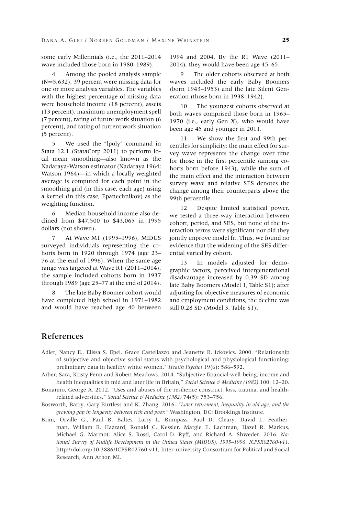some early Millennials (i.e., the 2011–2014 wave included those born in 1980–1989).

4 Among the pooled analysis sample (N=5,632), 39 percent were missing data for one or more analysis variables. The variables with the highest percentage of missing data were household income (18 percent), assets (13 percent), maximum unemployment spell (7 percent), rating of future work situation (6 percent), and rating of current work situation (5 percent).

5 We used the "lpoly" command in Stata 12.1 (StataCorp 2011) to perform local mean smoothing—also known as the Nadaraya-Watson estimator (Nadaraya 1964; Watson 1964)—in which a locally weighted average is computed for each point in the smoothing grid (in this case, each age) using a kernel (in this case, Epanechnikov) as the weighting function.

6 Median household income also declined from \$47,500 to \$43,065 in 1995 dollars (not shown).

7 At Wave M1 (1995–1996), MIDUS surveyed individuals representing the cohorts born in 1920 through 1974 (age 23– 76 at the end of 1996). When the same age range was targeted at Wave R1 (2011–2014), the sample included cohorts born in 1937 through 1989 (age 25–77 at the end of 2014).

8 The late Baby Boomer cohort would have completed high school in 1971–1982 and would have reached age 40 between 1994 and 2004. By the R1 Wave (2011– 2014), they would have been age 45–65.

The older cohorts observed at both waves included the early Baby Boomers (born 1943–1953) and the late Silent Generation (those born in 1938–1942).

10 The youngest cohorts observed at both waves comprised those born in 1965– 1970 (i.e., early Gen X), who would have been age 45 and younger in 2011.

11 We show the first and 99th percentiles for simplicity: the main effect for survey wave represents the change over time for those in the first percentile (among cohorts born before 1943), while the sum of the main effect and the interaction between survey wave and relative SES denotes the change among their counterparts above the 99th percentile.

12 Despite limited statistical power, we tested a three-way interaction between cohort, period, and SES, but none of the interaction terms were significant nor did they jointly improve model fit. Thus, we found no evidence that the widening of the SES differential varied by cohort.

13 In models adjusted for demographic factors, perceived intergenerational disadvantage increased by 0.39 SD among late Baby Boomers (Model 1, Table S1); after adjusting for objective measures of economic and employment conditions, the decline was still 0.28 SD (Model 3, Table S1).

# References

- Adler, Nancy E., Elissa S. Epel, Grace Castellazzo and Jeanette R. Ickovics. 2000. "Relationship of subjective and objective social status with psychological and physiological functioning: preliminary data in healthy white women," *Health Psychol* 19(6): 586–592.
- Arber, Sara, Kristy Fenn and Robert Meadows. 2014. "Subjective financial well-being, income and health inequalities in mid and later life in Britain," *Social Science & Medicine (1982)* 100: 12–20.
- Bonanno, George A. 2012. "Uses and abuses of the resilience construct: loss, trauma, and healthrelated adversities," *Social Science & Medicine (1982)* 74(5): 753–756.
- Bosworth, Barry, Gary Burtless and K. Zhang. 2016. *"Later retirement, inequality in old age, and the growing gap in longevity between rich and poor."* Washington, DC: Brookings Institute.
- Brim, Orville G., Paul B. Baltes, Larry L. Bumpass, Paul D. Cleary, David L. Featherman, William R. Hazzard, Ronald C. Kessler, Margie E. Lachman, Hazel R. Markus, Michael G. Marmot, Alice S. Rossi, Carol D. Ryff, and Richard A. Shweder. 2016. *National Survey of Midlife Development in the United States (MIDUS), 1995–1996. ICPSR02760-v11*. http://doi.org/10.3886/ICPSR02760.v11, Inter-university Consortium for Political and Social Research, Ann Arbor, MI.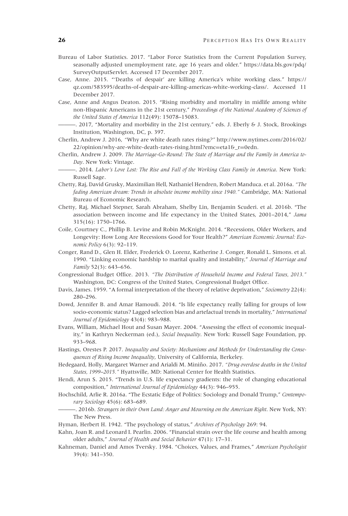- Bureau of Labor Statistics. 2017. "Labor Force Statistics from the Current Population Survey, seasonally adjusted unemployment rate, age 16 years and older." https://data.bls.gov/pdq/ SurveyOutputServlet. Accessed 17 December 2017.
- Case, Anne. 2015. "'Deaths of despair' are killing America's white working class." https:// qz.com/583595/deaths-of-despair-are-killing-americas-white-working-class/. Accessed 11 December 2017.
- Case, Anne and Angus Deaton. 2015. "Rising morbidity and mortality in midlife among white non-Hispanic Americans in the 21st century," *Proceedings of the National Academy of Sciences of the United States of America* 112(49): 15078–15083.
- ———. 2017, "Mortality and morbidity in the 21st century," eds. J. Eberly & J. Stock, Brookings Institution, Washington, DC, p. 397.
- Cherlin, Andrew J. 2016, *"*Why are white death rates rising*?"* http://www.nytimes.com/2016/02/ 22/opinion/why-are-white-death-rates-rising.html?emc=eta1&\_r=0edn.
- Cherlin, Andrew J. 2009. *The Marriage-Go-Round: The State of Marriage and the Family in America to-Day*. New York: Vintage.
	- ———. 2014. *Labor's Love Lost: The Rise and Fall of the Working Class Family in America*. New York: Russell Sage.
- Chetty, Raj, David Grusky, Maximilian Hell, Nathaniel Hendren, Robert Manduca. et al. 2016a. *"The fading American dream: Trends in absolute income mobility since 1940."* Cambridge, MA: National Bureau of Economic Research.
- Chetty, Raj, Michael Stepner, Sarah Abraham, Shelby Lin, Benjamin Scuderi. et al. 2016b. "The association between income and life expectancy in the United States, 2001–2014," *Jama* 315(16): 1750–1766.
- Coile, Courtney C., Phillip B. Levine and Robin McKnight. 2014. "Recessions, Older Workers, and Longevity: How Long Are Recessions Good for Your Health?" *American Economic Journal: Economic Policy* 6(3): 92–119.
- Conger, Rand D., Glen H. Elder, Frederick O. Lorenz, Katherine J. Conger, Ronald L. Simons. et al. 1990. "Linking economic hardship to marital quality and instability," *Journal of Marriage and Family* 52(3): 643–656.
- Congressional Budget Office. 2013. *"The Distribution of Household Income and Federal Taxes, 2013."* Washington, DC: Congress of the United States, Congressional Budget Office.
- Davis, James. 1959. "A formal interpretation of the theory of relative deprivation," *Sociometry* 22(4): 280–296.
- Dowd, Jennifer B. and Amar Hamoudi. 2014. "Is life expectancy really falling for groups of low socio-economic status? Lagged selection bias and artefactual trends in mortality," *International Journal of Epidemiology* 43(4): 983–988.
- Evans, William, Michael Hout and Susan Mayer. 2004. "Assessing the effect of economic inequality," in Kathryn Neckerman (ed.), *Social Inequality*. New York: Russell Sage Foundation, pp. 933–968.
- Hastings, Orestes P. 2017. *Inequality and Society: Mechanisms and Methods for Understanding the Consequences of Rising Income Inequality*, University of California, Berkeley.
- Hedegaard, Holly, Margaret Warner and Arialdi M. Miniño. 2017. *"Drug overdose deaths in the United States, 1999–2015."* Hyattsville, MD: National Center for Health Statistics.
- Hendi, Arun S. 2015. "Trends in U.S. life expectancy gradients: the role of changing educational composition," *International Journal of Epidemiology* 44(3): 946–955.
- Hochschild, Arlie R. 2016a. "The Ecstatic Edge of Politics: Sociology and Donald Trump," *Contemporary Sociology* 45(6): 683–689.
- ———. 2016b. *Strangers in their Own Land: Anger and Mourning on the American Right*. New York, NY: The New Press.
- Hyman, Herbert H. 1942. "The psychology of status," *Archives of Psychology* 269: 94.
- Kahn, Joan R. and Leonard I. Pearlin. 2006. "Financial strain over the life course and health among older adults," *Journal of Health and Social Behavior* 47(1): 17–31.
- Kahneman, Daniel and Amos Tversky. 1984. "Choices, Values, and Frames," *American Psychologist* 39(4): 341–350.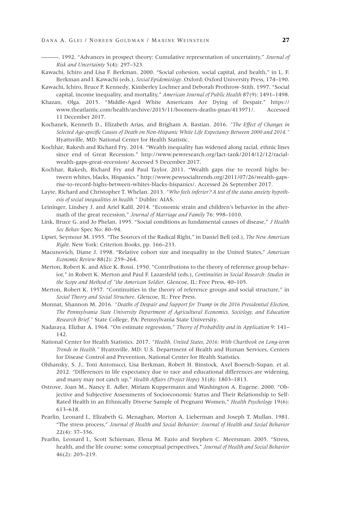———. 1992. "Advances in prospect theory: Cumulative representation of uncertainty," *Journal of Risk and Uncertainty* 5(4): 297–323.

- Kawachi, Ichiro and Lisa F. Berkman. 2000. "Social cohesion, social capital, and health," in L. F. Berkman and I. Kawachi (eds.), *Social Epidemiology*. Oxford: Oxford University Press, 174–190.
- Kawachi, Ichiro, Bruce P. Kennedy, Kimberley Lochner and Deborah Prothrow-Stith. 1997. "Social capital, income inequality, and mortality," *American Journal of Public Health* 87(9): 1491–1498.
- Khazan, Olga. 2015. "Middle-Aged White Americans Are Dying of Despair." https:// www.theatlantic.com/health/archive/2015/11/boomers-deaths-pnas/413971/. Accessed 11 December 2017.
- Kochanek, Kenneth D., Elizabeth Arias, and Brigham A. Bastian. 2016. *"The Effect of Changes in Selected Age-specific Causes of Death on Non-Hispanic White Life Expectancy Between 2000 and 2014."* Hyattsville, MD: National Center for Health Statistic.
- Kochhar, Rakesh and Richard Fry. 2014. "Wealth inequality has widened along racial, ethnic lines since end of Great Recession." http://www.pewresearch.org/fact-tank/2014/12/12/racialwealth-gaps-great-recession/ Accessed 5 December 2017.
- Kochhar, Rakesh, Richard Fry and Paul Taylor. 2011. "Wealth gaps rise to record highs between whites, blacks, Hispanics." http://www.pewsocialtrends.org/2011/07/26/wealth-gapsrise-to-record-highs-between-whites-blacks-hispanics/. Accessed 26 September 2017.
- Layte, Richard and Christopher T. Whelan. 2013. *"Who feels inferior? A test of the status anxiety hypothesis of social inequalities in health."* Dublin: AIAS.
- Leininger, Lindsey J. and Ariel Kalil. 2014. "Economic strain and children's behavior in the aftermath of the great recession," *Journal of Marriage and Family* 76: 998–1010.
- Link, Bruce G. and Jo Phelan. 1995. "Social conditions as fundamental causes of disease," *J Health Soc Behav* Spec No: 80–94.
- Lipset, Seymour M. 1955. "The Sources of the Radical Right," in Daniel Bell (ed.), *The New American Right*. New York: Criterion Books, pp. 166–233.
- Macunovich, Diane J. 1998. "Relative cohort size and inequality in the United States," *American Economic Review* 88(2): 259–264.
- Merton, Robert K. and Alice K. Rossi. 1950. "Contributions to the theory of reference group behavior," in Robert K. Merton and Paul F. Lazarsfeld (eds.), *Continuities in Social Research: Studies in the Scope and Method of "the American Soldier*. Glencoe, IL: Free Press, 40–105.
- Merton, Robert K. 1957. "Continuities in the theory of reference groups and social structure," in *Social Theory and Social Structure*. Glencoe, IL: Free Press.
- Monnat, Shannon M. 2016. *"Deaths of Despair and Support for Trump in the 2016 Presidential Election, The Pennsylvania State University Department of Agricultural Economics, Sociology, and Education Research Brief."* State College, PA: Pennsylvania State University.
- Nadaraya, Elizbar A. 1964. "On estimate regression," *Theory of Probability and its Application* 9: 141– 142.
- National Center for Health Statistics. 2017. *"Health, United States, 2016: With Chartbook on Long-term Trends in Health."* Hyattsville, MD: U.S. Department of Health and Human Services, Centers for Disease Control and Prevention, National Center for Health Statistics.
- Olshansky, S. J., Toni Antonucci, Lisa Berkman, Robert H. Binstock, Axel Boersch-Supan. et al. 2012. "Differences in life expectancy due to race and educational differences are widening, and many may not catch up," *Health Affairs (Project Hope)* 31(8): 1803–1813.
- Ostrove, Joan M., Nancy E. Adler, Miriam Kuppermann and Washington A. Eugene. 2000. "Objective and Subjective Assessments of Socioeconomic Status and Their Relationship to Self-Rated Health in an Ethnically Diverse Sample of Pregnant Women," *Health Psychology* 19(6): 613–618.
- Pearlin, Leonard I., Elizabeth G. Menaghan, Morton A. Lieberman and Joseph T. Mullan. 1981. "The stress process," *Journal of Health and Social Behavior; Journal of Health and Social Behavior* 22(4): 37–356.
- Pearlin, Leonard I., Scott Schieman, Elena M. Fazio and Stephen C. Meersman. 2005. "Stress, health, and the life course: some conceptual perspectives," *Journal of Health and Social Behavior* 46(2): 205–219.